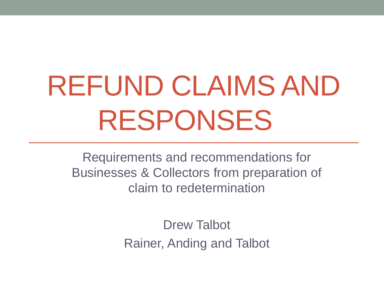# REFUND CLAIMS AND RESPONSES

Requirements and recommendations for Businesses & Collectors from preparation of claim to redetermination

> Drew Talbot Rainer, Anding and Talbot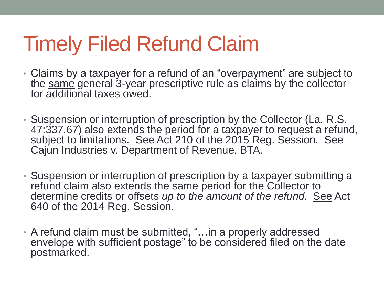## Timely Filed Refund Claim

- Claims by a taxpayer for a refund of an "overpayment" are subject to the same general 3-year prescriptive rule as claims by the collector for additional taxes owed.
- Suspension or interruption of prescription by the Collector (La. R.S. 47:337.67) also extends the period for a taxpayer to request a refund, subject to limitations. See Act 210 of the 2015 Reg. Session. See Cajun Industries v. Department of Revenue, BTA.
- Suspension or interruption of prescription by a taxpayer submitting a refund claim also extends the same period for the Collector to determine credits or offsets *up to the amount of the refund.* See Act 640 of the 2014 Reg. Session.
- A refund claim must be submitted, "…in a properly addressed envelope with sufficient postage" to be considered filed on the date postmarked.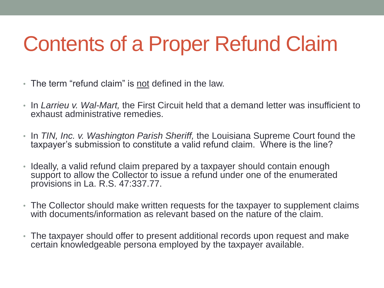# Contents of a Proper Refund Claim

- The term "refund claim" is not defined in the law.
- In *Larrieu v. Wal-Mart,* the First Circuit held that a demand letter was insufficient to exhaust administrative remedies.
- In *TIN, Inc. v. Washington Parish Sheriff,* the Louisiana Supreme Court found the taxpayer's submission to constitute a valid refund claim. Where is the line?
- Ideally, a valid refund claim prepared by a taxpayer should contain enough support to allow the Collector to issue a refund under one of the enumerated provisions in La. R.S. 47:337.77.
- The Collector should make written requests for the taxpayer to supplement claims with documents/information as relevant based on the nature of the claim.
- The taxpayer should offer to present additional records upon request and make certain knowledgeable persona employed by the taxpayer available.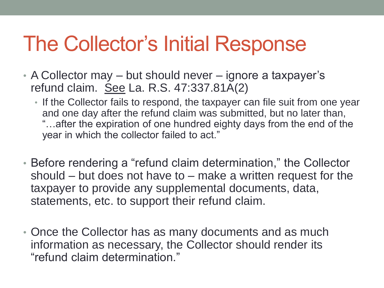## The Collector's Initial Response

- A Collector may but should never ignore a taxpayer's refund claim. See La. R.S. 47:337.81A(2)
	- If the Collector fails to respond, the taxpayer can file suit from one year and one day after the refund claim was submitted, but no later than, "…after the expiration of one hundred eighty days from the end of the year in which the collector failed to act."
- Before rendering a "refund claim determination," the Collector should – but does not have to – make a written request for the taxpayer to provide any supplemental documents, data, statements, etc. to support their refund claim.
- Once the Collector has as many documents and as much information as necessary, the Collector should render its "refund claim determination."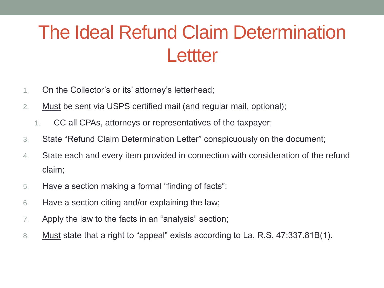### The Ideal Refund Claim Determination **Lettter**

- 1. On the Collector's or its' attorney's letterhead;
- 2. Must be sent via USPS certified mail (and regular mail, optional);
	- 1. CC all CPAs, attorneys or representatives of the taxpayer;
- 3. State "Refund Claim Determination Letter" conspicuously on the document;
- 4. State each and every item provided in connection with consideration of the refund claim;
- 5. Have a section making a formal "finding of facts";
- 6. Have a section citing and/or explaining the law;
- 7. Apply the law to the facts in an "analysis" section;
- 8. Must state that a right to "appeal" exists according to La. R.S. 47:337.81B(1).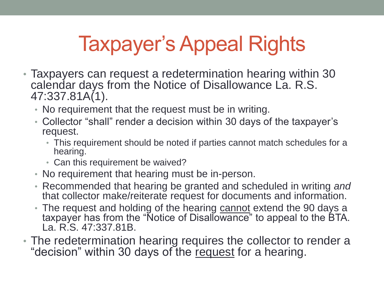# Taxpayer's Appeal Rights

- Taxpayers can request a redetermination hearing within 30 calendar days from the Notice of Disallowance La. R.S. 47:337.81A(1).
	- No requirement that the request must be in writing.
	- Collector "shall" render a decision within 30 days of the taxpayer's request.
		- This requirement should be noted if parties cannot match schedules for a hearing.
		- Can this requirement be waived?
	- No requirement that hearing must be in-person.
	- Recommended that hearing be granted and scheduled in writing *and*  that collector make/reiterate request for documents and information.
	- The request and holding of the hearing cannot extend the 90 days a taxpayer has from the "Notice of Disallowance" to appeal to the BTA. La. R.S. 47:337.81B.
- The redetermination hearing requires the collector to render a "decision" within 30 days of the request for a hearing.